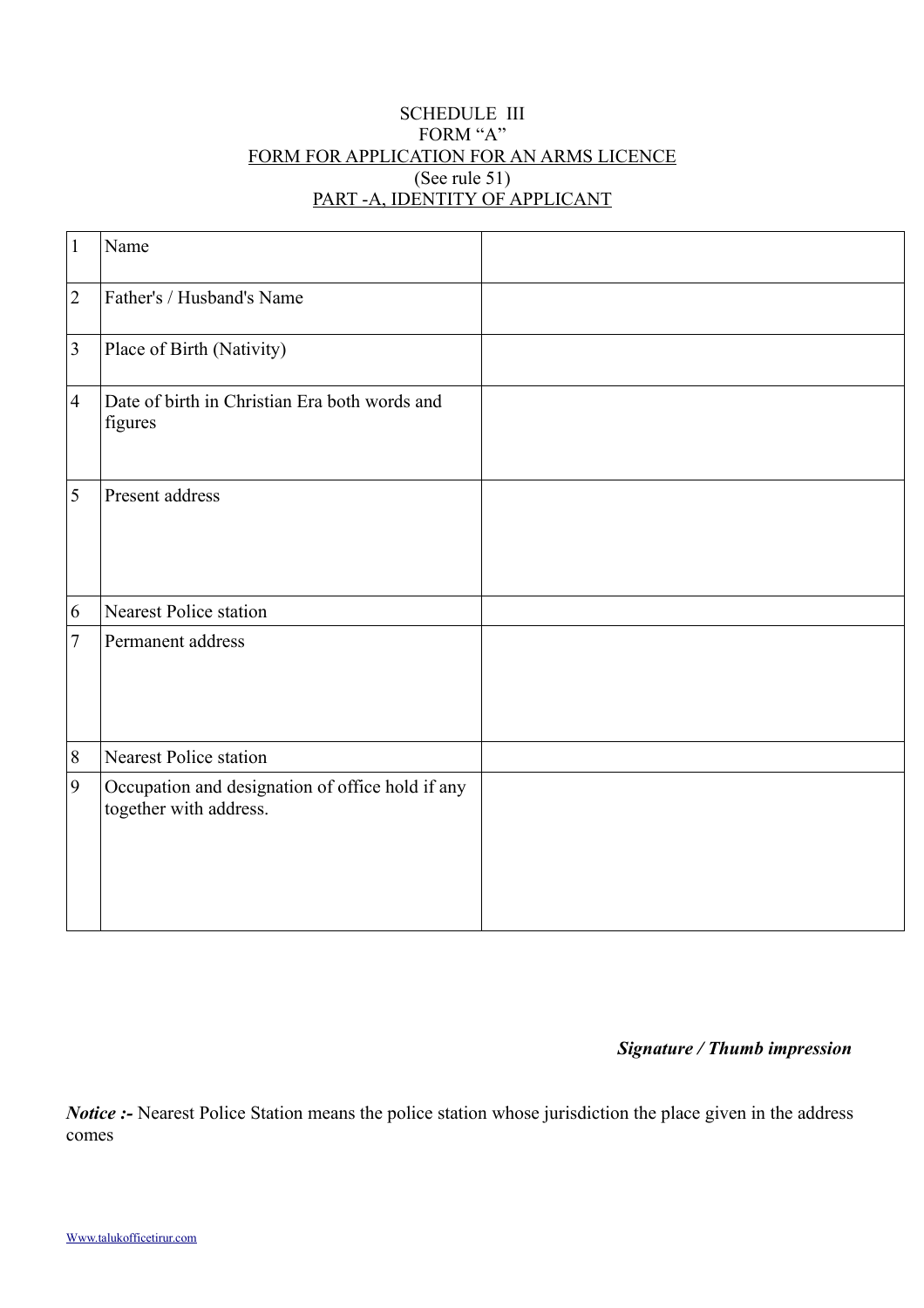#### SCHEDULE III FORM "A" FORM FOR APPLICATION FOR AN ARMS LICENCE (See rule 51) PART -A, IDENTITY OF APPLICANT

| $\mathbf{1}$   | Name                                                                       |  |
|----------------|----------------------------------------------------------------------------|--|
| $\sqrt{2}$     | Father's / Husband's Name                                                  |  |
| $\overline{3}$ | Place of Birth (Nativity)                                                  |  |
| $\overline{4}$ | Date of birth in Christian Era both words and<br>figures                   |  |
| 5              | Present address                                                            |  |
| 6              | <b>Nearest Police station</b>                                              |  |
| 7              | Permanent address                                                          |  |
| 8              | <b>Nearest Police station</b>                                              |  |
| 9              | Occupation and designation of office hold if any<br>together with address. |  |

# *Signature / Thumb impression*

*Notice* :- Nearest Police Station means the police station whose jurisdiction the place given in the address comes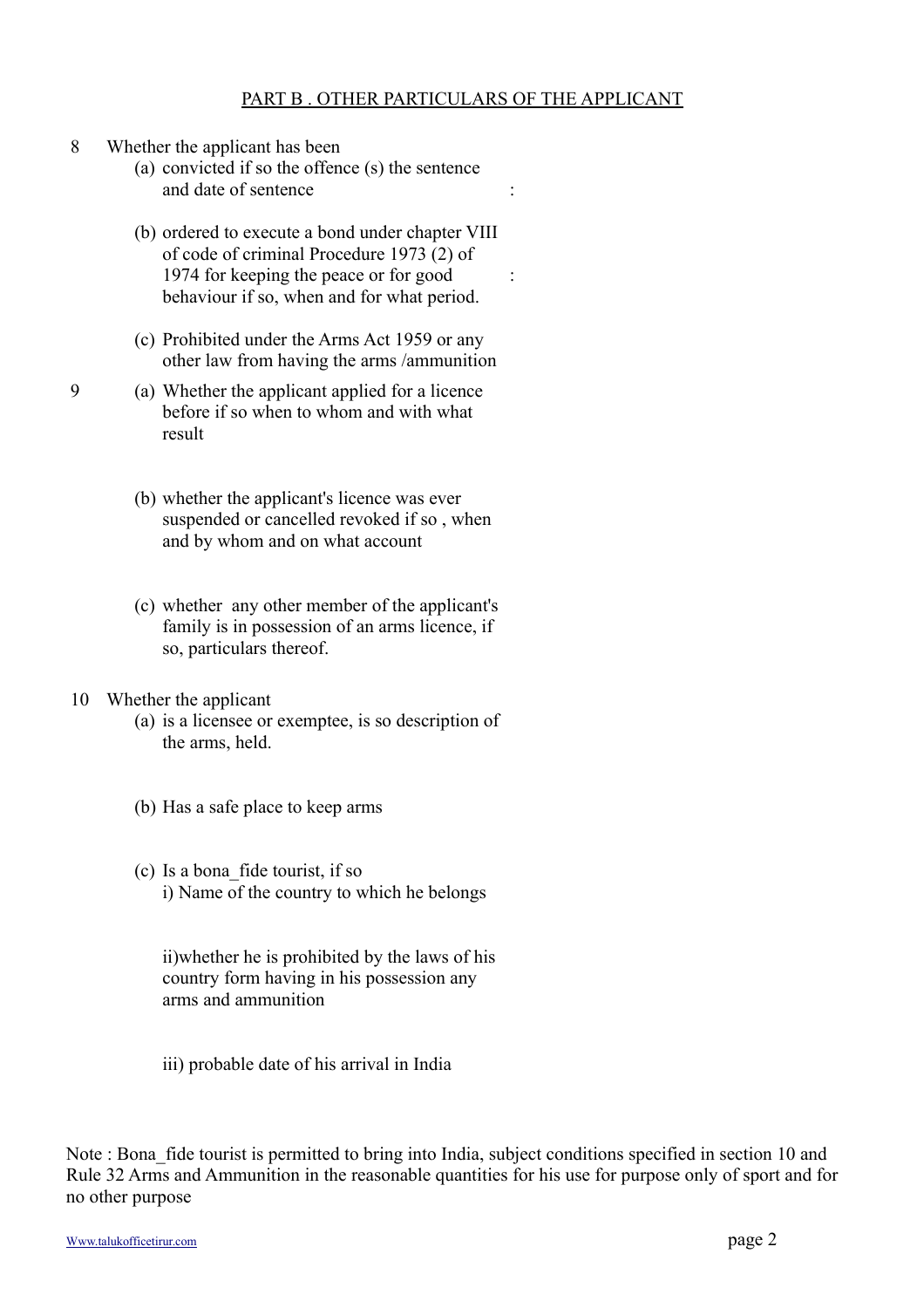### PART B . OTHER PARTICULARS OF THE APPLICANT

:

:

- 8 Whether the applicant has been
	- (a) convicted if so the offence (s) the sentence and date of sentence
	- (b) ordered to execute a bond under chapter VIII of code of criminal Procedure 1973 (2) of 1974 for keeping the peace or for good behaviour if so, when and for what period.
	- (c) Prohibited under the Arms Act 1959 or any other law from having the arms /ammunition
- 9 (a) Whether the applicant applied for a licence before if so when to whom and with what result
	- (b) whether the applicant's licence was ever suspended or cancelled revoked if so , when and by whom and on what account
	- (c) whether any other member of the applicant's family is in possession of an arms licence, if so, particulars thereof.
- 10 Whether the applicant
	- (a) is a licensee or exemptee, is so description of the arms, held.
	- (b) Has a safe place to keep arms
	- (c) Is a bona\_fide tourist, if so i) Name of the country to which he belongs

ii)whether he is prohibited by the laws of his country form having in his possession any arms and ammunition

iii) probable date of his arrival in India

Note : Bona fide tourist is permitted to bring into India, subject conditions specified in section 10 and Rule 32 Arms and Ammunition in the reasonable quantities for his use for purpose only of sport and for no other purpose

[Www.talukofficetirur.com](http://Www.talukofficetirur.com/) page 2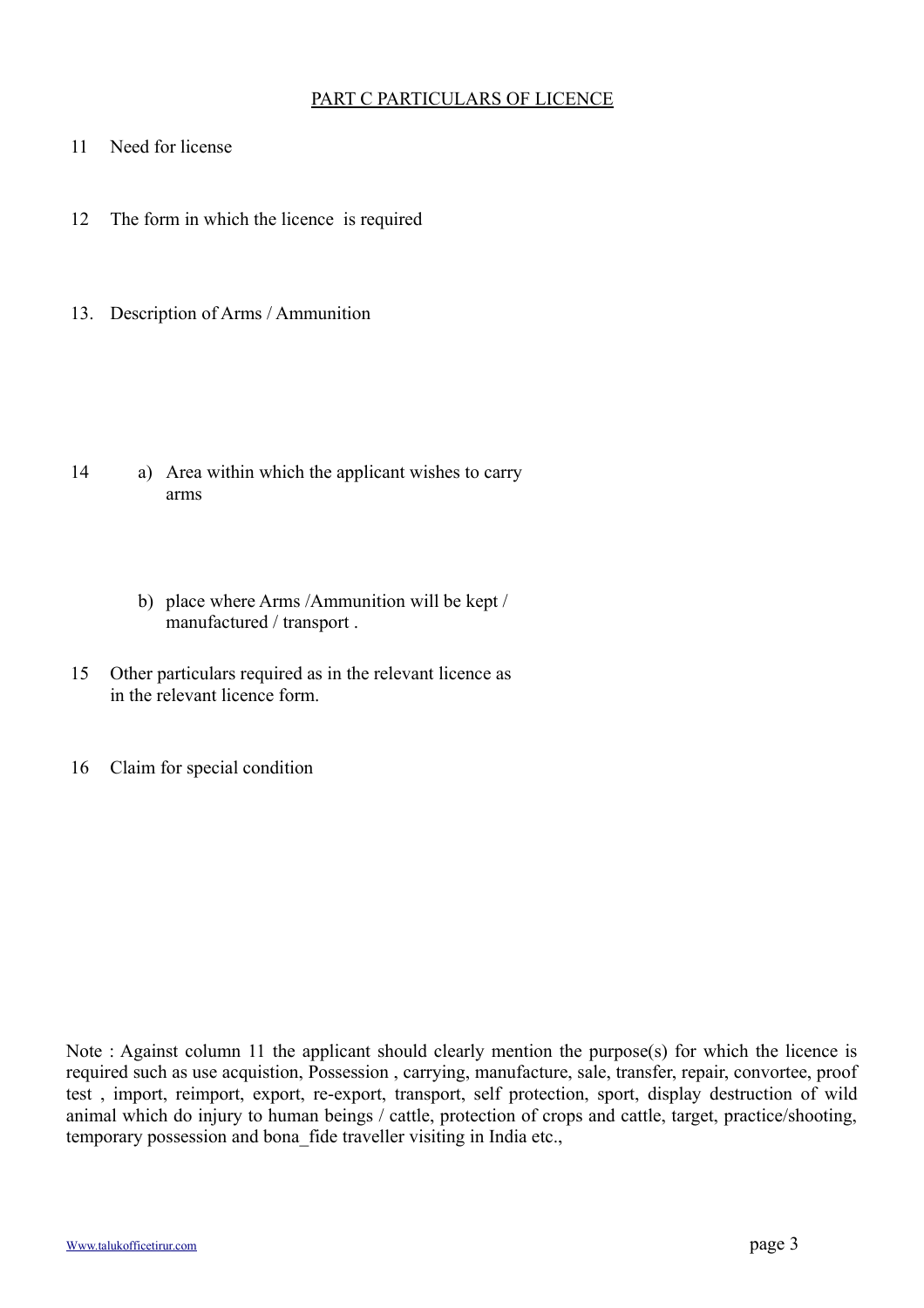### PART C PARTICULARS OF LICENCE

- 11 Need for license
- 12 The form in which the licence is required
- 13. Description of Arms / Ammunition

- 14 a) Area within which the applicant wishes to carry arms
	- b) place where Arms /Ammunition will be kept / manufactured / transport .
- 15 Other particulars required as in the relevant licence as in the relevant licence form.
- 16 Claim for special condition

Note : Against column 11 the applicant should clearly mention the purpose(s) for which the licence is required such as use acquistion, Possession , carrying, manufacture, sale, transfer, repair, convortee, proof test , import, reimport, export, re-export, transport, self protection, sport, display destruction of wild animal which do injury to human beings / cattle, protection of crops and cattle, target, practice/shooting, temporary possession and bona\_fide traveller visiting in India etc.,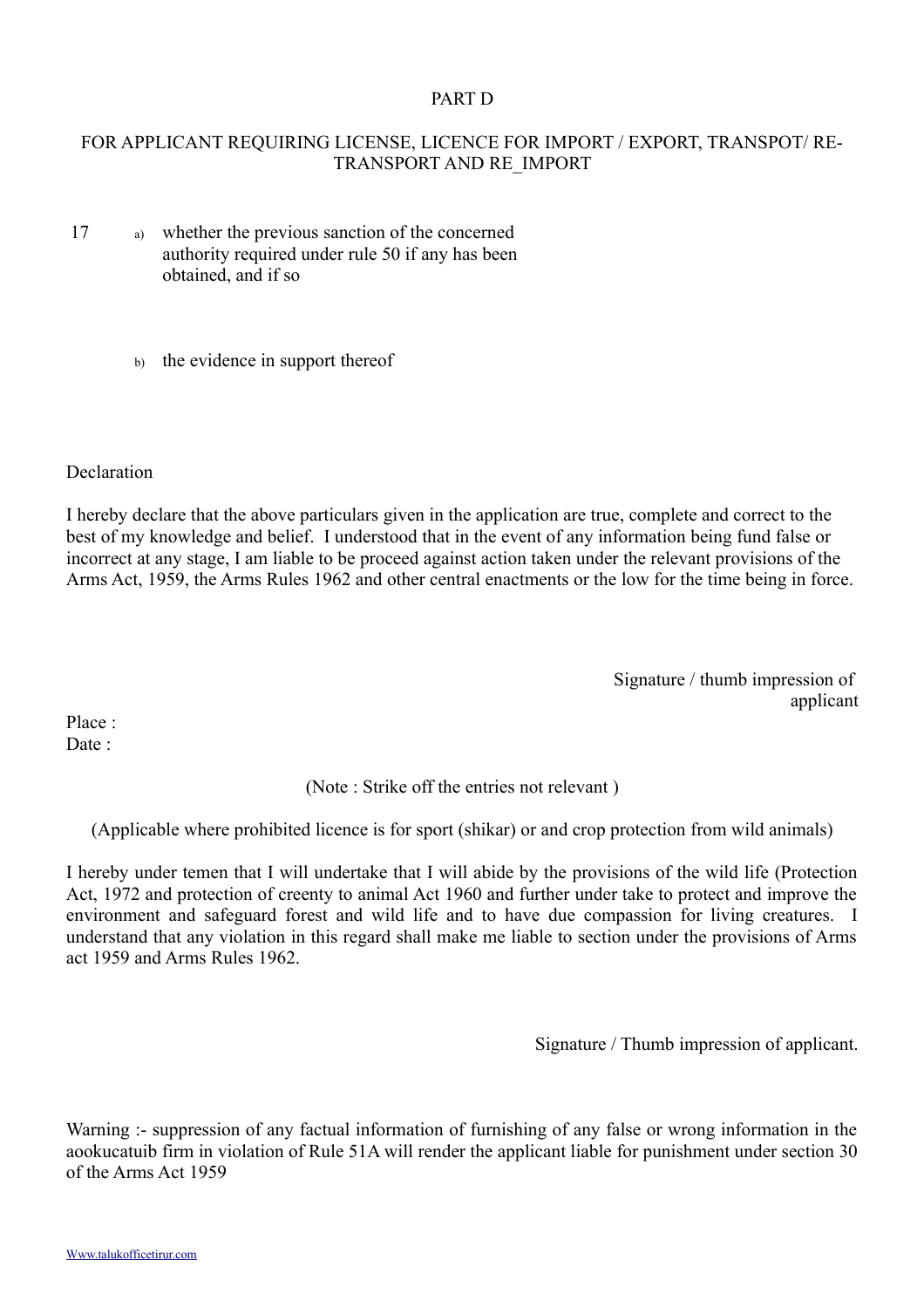#### PART D

### FOR APPLICANT REQUIRING LICENSE, LICENCE FOR IMPORT / EXPORT, TRANSPOT/ RE-TRANSPORT AND RE\_IMPORT

- 17 a) whether the previous sanction of the concerned authority required under rule 50 if any has been obtained, and if so
	- b) the evidence in support thereof

**Declaration** 

I hereby declare that the above particulars given in the application are true, complete and correct to the best of my knowledge and belief. I understood that in the event of any information being fund false or incorrect at any stage, I am liable to be proceed against action taken under the relevant provisions of the Arms Act, 1959, the Arms Rules 1962 and other central enactments or the low for the time being in force.

> Signature / thumb impression of applicant

Place : Date ·

(Note : Strike off the entries not relevant )

(Applicable where prohibited licence is for sport (shikar) or and crop protection from wild animals)

I hereby under temen that I will undertake that I will abide by the provisions of the wild life (Protection Act, 1972 and protection of creenty to animal Act 1960 and further under take to protect and improve the environment and safeguard forest and wild life and to have due compassion for living creatures. I understand that any violation in this regard shall make me liable to section under the provisions of Arms act 1959 and Arms Rules 1962.

Signature / Thumb impression of applicant.

Warning :- suppression of any factual information of furnishing of any false or wrong information in the aookucatuib firm in violation of Rule 51A will render the applicant liable for punishment under section 30 of the Arms Act 1959